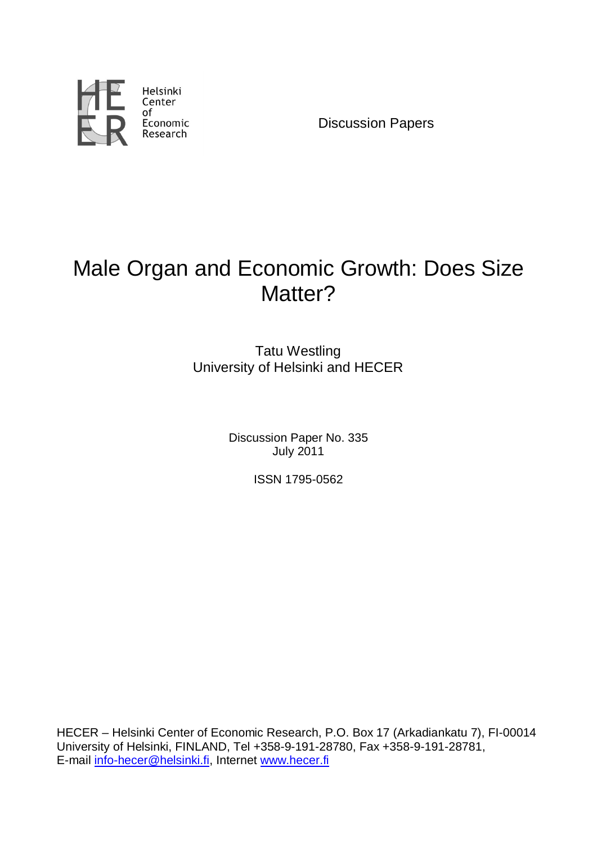

Discussion Papers

# Male Organ and Economic Growth: Does Size Matter?

Tatu Westling University of Helsinki and HECER

> Discussion Paper No. 335 July 2011

> > ISSN 1795-0562

HECER – Helsinki Center of Economic Research, P.O. Box 17 (Arkadiankatu 7), FI-00014 University of Helsinki, FINLAND, Tel +358-9-191-28780, Fax +358-9-191-28781, E-mail info-hecer@helsinki.fi, Internet www.hecer.fi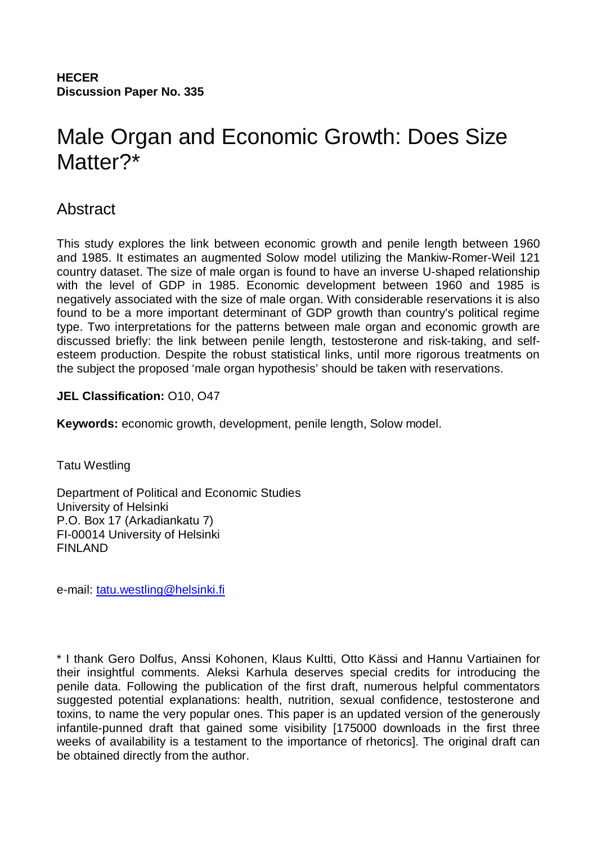**HECER Discussion Paper No. 335**

# Male Organ and Economic Growth: Does Size Matter?\*

# Abstract

This study explores the link between economic growth and penile length between 1960 and 1985. It estimates an augmented Solow model utilizing the Mankiw-Romer-Weil 121 country dataset. The size of male organ is found to have an inverse U-shaped relationship with the level of GDP in 1985. Economic development between 1960 and 1985 is negatively associated with the size of male organ. With considerable reservations it is also found to be a more important determinant of GDP growth than country's political regime type. Two interpretations for the patterns between male organ and economic growth are discussed briefly: the link between penile length, testosterone and risk-taking, and selfesteem production. Despite the robust statistical links, until more rigorous treatments on the subject the proposed 'male organ hypothesis' should be taken with reservations.

## **JEL Classification:** O10, O47

**Keywords:** economic growth, development, penile length, Solow model.

Tatu Westling

Department of Political and Economic Studies University of Helsinki P.O. Box 17 (Arkadiankatu 7) FI-00014 University of Helsinki FINLAND

e-mail: tatu.westling@helsinki.fi

\* I thank Gero Dolfus, Anssi Kohonen, Klaus Kultti, Otto Kässi and Hannu Vartiainen for their insightful comments. Aleksi Karhula deserves special credits for introducing the penile data. Following the publication of the first draft, numerous helpful commentators suggested potential explanations: health, nutrition, sexual confidence, testosterone and toxins, to name the very popular ones. This paper is an updated version of the generously infantile-punned draft that gained some visibility [175000 downloads in the first three weeks of availability is a testament to the importance of rhetorics]. The original draft can be obtained directly from the author.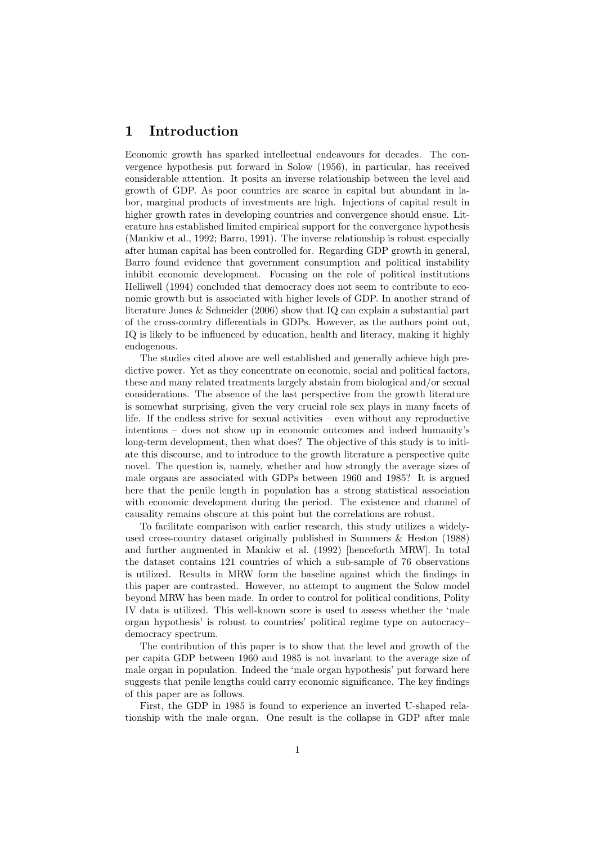#### 1 Introduction

Economic growth has sparked intellectual endeavours for decades. The convergence hypothesis put forward in Solow (1956), in particular, has received considerable attention. It posits an inverse relationship between the level and growth of GDP. As poor countries are scarce in capital but abundant in labor, marginal products of investments are high. Injections of capital result in higher growth rates in developing countries and convergence should ensue. Literature has established limited empirical support for the convergence hypothesis (Mankiw et al., 1992; Barro, 1991). The inverse relationship is robust especially after human capital has been controlled for. Regarding GDP growth in general, Barro found evidence that government consumption and political instability inhibit economic development. Focusing on the role of political institutions Helliwell (1994) concluded that democracy does not seem to contribute to economic growth but is associated with higher levels of GDP. In another strand of literature Jones & Schneider (2006) show that IQ can explain a substantial part of the cross-country differentials in GDPs. However, as the authors point out, IQ is likely to be influenced by education, health and literacy, making it highly endogenous.

The studies cited above are well established and generally achieve high predictive power. Yet as they concentrate on economic, social and political factors, these and many related treatments largely abstain from biological and/or sexual considerations. The absence of the last perspective from the growth literature is somewhat surprising, given the very crucial role sex plays in many facets of life. If the endless strive for sexual activities – even without any reproductive intentions – does not show up in economic outcomes and indeed humanity's long-term development, then what does? The objective of this study is to initiate this discourse, and to introduce to the growth literature a perspective quite novel. The question is, namely, whether and how strongly the average sizes of male organs are associated with GDPs between 1960 and 1985? It is argued here that the penile length in population has a strong statistical association with economic development during the period. The existence and channel of causality remains obscure at this point but the correlations are robust.

To facilitate comparison with earlier research, this study utilizes a widelyused cross-country dataset originally published in Summers & Heston (1988) and further augmented in Mankiw et al. (1992) [henceforth MRW]. In total the dataset contains 121 countries of which a sub-sample of 76 observations is utilized. Results in MRW form the baseline against which the findings in this paper are contrasted. However, no attempt to augment the Solow model beyond MRW has been made. In order to control for political conditions, Polity IV data is utilized. This well-known score is used to assess whether the 'male organ hypothesis' is robust to countries' political regime type on autocracy– democracy spectrum.

The contribution of this paper is to show that the level and growth of the per capita GDP between 1960 and 1985 is not invariant to the average size of male organ in population. Indeed the 'male organ hypothesis' put forward here suggests that penile lengths could carry economic significance. The key findings of this paper are as follows.

First, the GDP in 1985 is found to experience an inverted U-shaped relationship with the male organ. One result is the collapse in GDP after male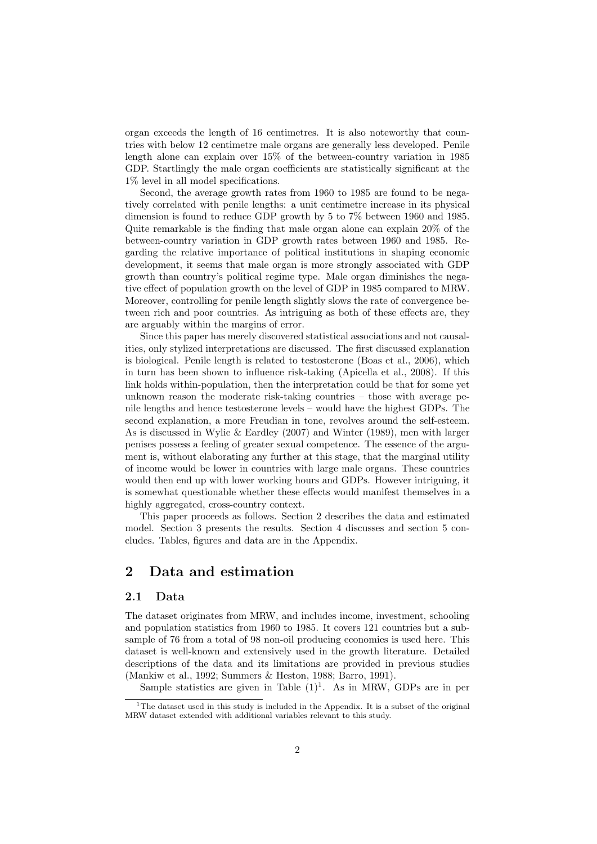organ exceeds the length of 16 centimetres. It is also noteworthy that countries with below 12 centimetre male organs are generally less developed. Penile length alone can explain over 15% of the between-country variation in 1985 GDP. Startlingly the male organ coefficients are statistically significant at the 1% level in all model specifications.

Second, the average growth rates from 1960 to 1985 are found to be negatively correlated with penile lengths: a unit centimetre increase in its physical dimension is found to reduce GDP growth by 5 to 7% between 1960 and 1985. Quite remarkable is the finding that male organ alone can explain 20% of the between-country variation in GDP growth rates between 1960 and 1985. Regarding the relative importance of political institutions in shaping economic development, it seems that male organ is more strongly associated with GDP growth than country's political regime type. Male organ diminishes the negative effect of population growth on the level of GDP in 1985 compared to MRW. Moreover, controlling for penile length slightly slows the rate of convergence between rich and poor countries. As intriguing as both of these effects are, they are arguably within the margins of error.

Since this paper has merely discovered statistical associations and not causalities, only stylized interpretations are discussed. The first discussed explanation is biological. Penile length is related to testosterone (Boas et al., 2006), which in turn has been shown to influence risk-taking (Apicella et al., 2008). If this link holds within-population, then the interpretation could be that for some yet unknown reason the moderate risk-taking countries – those with average penile lengths and hence testosterone levels – would have the highest GDPs. The second explanation, a more Freudian in tone, revolves around the self-esteem. As is discussed in Wylie & Eardley (2007) and Winter (1989), men with larger penises possess a feeling of greater sexual competence. The essence of the argument is, without elaborating any further at this stage, that the marginal utility of income would be lower in countries with large male organs. These countries would then end up with lower working hours and GDPs. However intriguing, it is somewhat questionable whether these effects would manifest themselves in a highly aggregated, cross-country context.

This paper proceeds as follows. Section 2 describes the data and estimated model. Section 3 presents the results. Section 4 discusses and section 5 concludes. Tables, figures and data are in the Appendix.

## 2 Data and estimation

#### 2.1 Data

The dataset originates from MRW, and includes income, investment, schooling and population statistics from 1960 to 1985. It covers 121 countries but a subsample of 76 from a total of 98 non-oil producing economies is used here. This dataset is well-known and extensively used in the growth literature. Detailed descriptions of the data and its limitations are provided in previous studies (Mankiw et al., 1992; Summers & Heston, 1988; Barro, 1991).

Sample statistics are given in Table  $(1)^1$ . As in MRW, GDPs are in per

<sup>&</sup>lt;sup>1</sup>The dataset used in this study is included in the Appendix. It is a subset of the original MRW dataset extended with additional variables relevant to this study.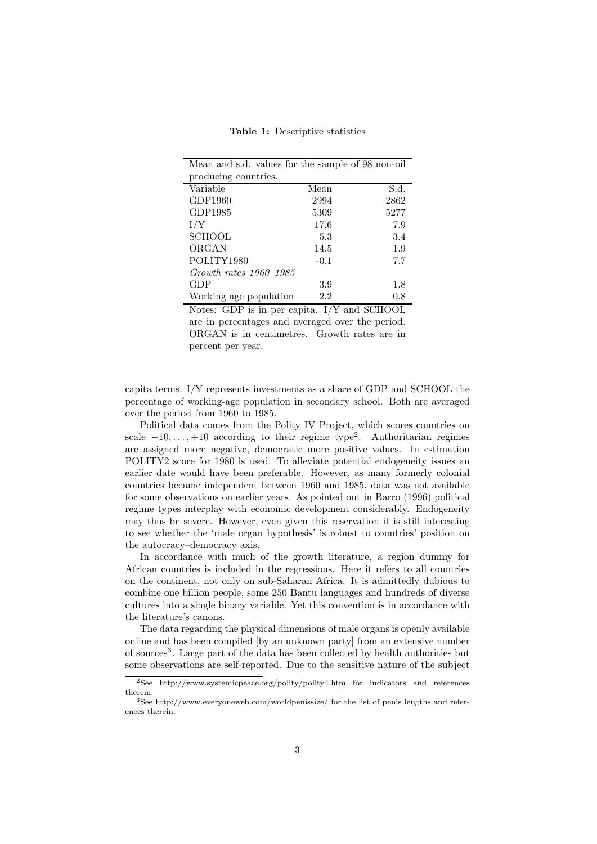Table 1: Descriptive statistics

| Mean and s.d. values for the sample of 98 non-oil |        |      |
|---------------------------------------------------|--------|------|
| producing countries.                              |        |      |
| Variable                                          | Mean   | S.d. |
| GDP1960                                           | 2994   | 2862 |
| GDP1985                                           | 5309   | 5277 |
| I/Y                                               | 17.6   | 7.9  |
| <b>SCHOOL</b>                                     | 5.3    | 3.4  |
| ORGAN                                             | 14.5   | 1.9  |
| POLITY1980                                        | $-0.1$ | 7.7  |
| $Growth$ rates $1960 - 1985$                      |        |      |
| GDP                                               | 3.9    | 1.8  |
| Working age population                            | 2.2    | 0.8  |

Notes: GDP is in per capita. I/Y and SCHOOL are in percentages and averaged over the period. ORGAN is in centimetres. Growth rates are in percent per year.

capita terms. I/Y represents investments as a share of GDP and SCHOOL the percentage of working-age population in secondary school. Both are averaged over the period from 1960 to 1985.

Political data comes from the Polity IV Project, which scores countries on scale  $-10, \ldots, +10$  according to their regime type<sup>2</sup>. Authoritarian regimes are assigned more negative, democratic more positive values. In estimation POLITY2 score for 1980 is used. To alleviate potential endogeneity issues an earlier date would have been preferable. However, as many formerly colonial countries became independent between 1960 and 1985, data was not available for some observations on earlier years. As pointed out in Barro (1996) political regime types interplay with economic development considerably. Endogeneity may thus be severe. However, even given this reservation it is still interesting to see whether the 'male organ hypothesis' is robust to countries' position on the autocracy–democracy axis.

In accordance with much of the growth literature, a region dummy for African countries is included in the regressions. Here it refers to all countries on the continent, not only on sub-Saharan Africa. It is admittedly dubious to combine one billion people, some 250 Bantu languages and hundreds of diverse cultures into a single binary variable. Yet this convention is in accordance with the literature's canons.

The data regarding the physical dimensions of male organs is openly available online and has been compiled [by an unknown party] from an extensive number of sources<sup>3</sup>. Large part of the data has been collected by health authorities but some observations are self-reported. Due to the sensitive nature of the subject

<sup>2</sup>See http://www.systemicpeace.org/polity/polity4.htm for indicators and references therein.

<sup>3</sup>See http://www.everyoneweb.com/worldpenissize/ for the list of penis lengths and references therein.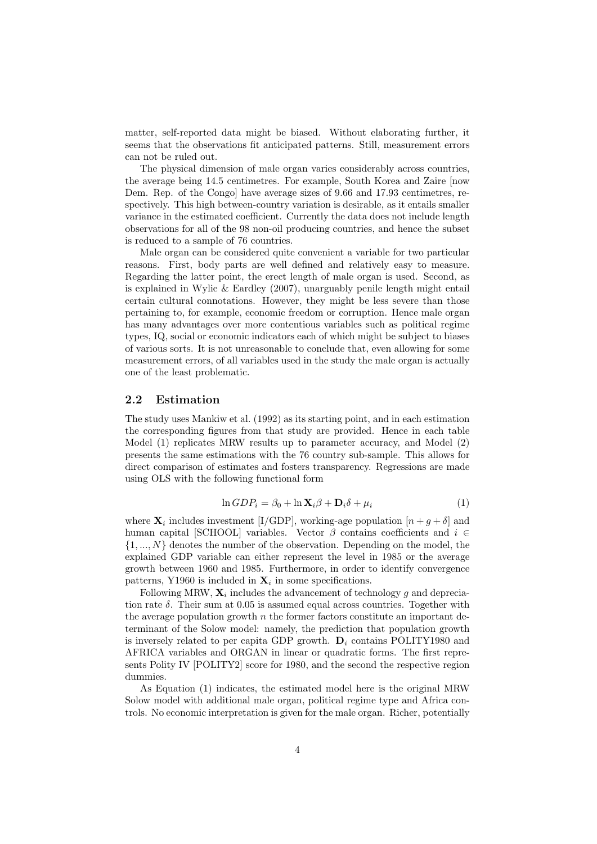matter, self-reported data might be biased. Without elaborating further, it seems that the observations fit anticipated patterns. Still, measurement errors can not be ruled out.

The physical dimension of male organ varies considerably across countries, the average being 14.5 centimetres. For example, South Korea and Zaire [now Dem. Rep. of the Congo] have average sizes of 9.66 and 17.93 centimetres, respectively. This high between-country variation is desirable, as it entails smaller variance in the estimated coefficient. Currently the data does not include length observations for all of the 98 non-oil producing countries, and hence the subset is reduced to a sample of 76 countries.

Male organ can be considered quite convenient a variable for two particular reasons. First, body parts are well defined and relatively easy to measure. Regarding the latter point, the erect length of male organ is used. Second, as is explained in Wylie & Eardley (2007), unarguably penile length might entail certain cultural connotations. However, they might be less severe than those pertaining to, for example, economic freedom or corruption. Hence male organ has many advantages over more contentious variables such as political regime types, IQ, social or economic indicators each of which might be subject to biases of various sorts. It is not unreasonable to conclude that, even allowing for some measurement errors, of all variables used in the study the male organ is actually one of the least problematic.

#### 2.2 Estimation

The study uses Mankiw et al. (1992) as its starting point, and in each estimation the corresponding figures from that study are provided. Hence in each table Model (1) replicates MRW results up to parameter accuracy, and Model (2) presents the same estimations with the 76 country sub-sample. This allows for direct comparison of estimates and fosters transparency. Regressions are made using OLS with the following functional form

$$
\ln GDP_i = \beta_0 + \ln \mathbf{X}_i \beta + \mathbf{D}_i \delta + \mu_i \tag{1}
$$

where  $\mathbf{X}_i$  includes investment [I/GDP], working-age population  $[n + g + \delta]$  and human capital [SCHOOL] variables. Vector  $\beta$  contains coefficients and  $i \in$  $\{1, ..., N\}$  denotes the number of the observation. Depending on the model, the explained GDP variable can either represent the level in 1985 or the average growth between 1960 and 1985. Furthermore, in order to identify convergence patterns, Y1960 is included in  $\mathbf{X}_i$  in some specifications.

Following MRW,  $\mathbf{X}_i$  includes the advancement of technology g and depreciation rate  $\delta$ . Their sum at 0.05 is assumed equal across countries. Together with the average population growth  $n$  the former factors constitute an important determinant of the Solow model: namely, the prediction that population growth is inversely related to per capita GDP growth.  $D_i$  contains POLITY1980 and AFRICA variables and ORGAN in linear or quadratic forms. The first represents Polity IV [POLITY2] score for 1980, and the second the respective region dummies.

As Equation (1) indicates, the estimated model here is the original MRW Solow model with additional male organ, political regime type and Africa controls. No economic interpretation is given for the male organ. Richer, potentially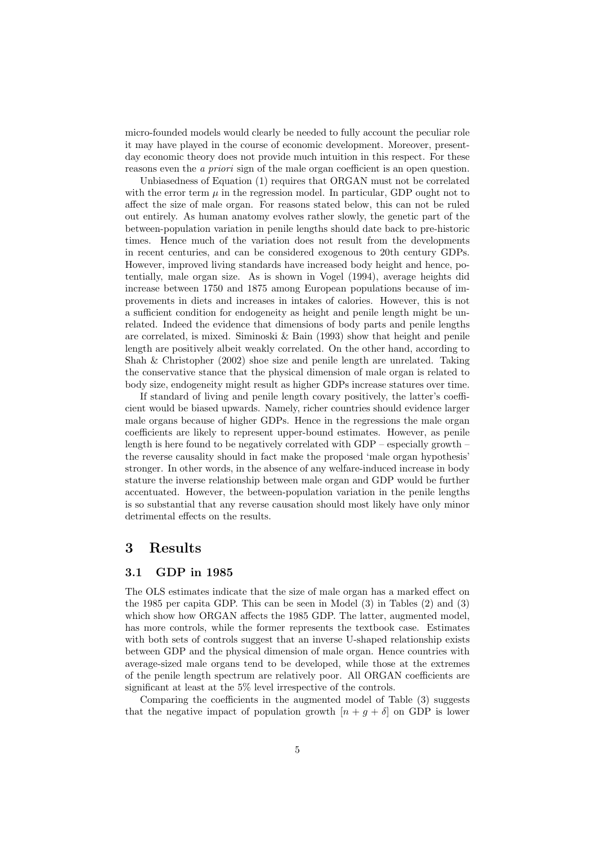micro-founded models would clearly be needed to fully account the peculiar role it may have played in the course of economic development. Moreover, presentday economic theory does not provide much intuition in this respect. For these reasons even the *a priori* sign of the male organ coefficient is an open question.

Unbiasedness of Equation (1) requires that ORGAN must not be correlated with the error term  $\mu$  in the regression model. In particular, GDP ought not to affect the size of male organ. For reasons stated below, this can not be ruled out entirely. As human anatomy evolves rather slowly, the genetic part of the between-population variation in penile lengths should date back to pre-historic times. Hence much of the variation does not result from the developments in recent centuries, and can be considered exogenous to 20th century GDPs. However, improved living standards have increased body height and hence, potentially, male organ size. As is shown in Vogel (1994), average heights did increase between 1750 and 1875 among European populations because of improvements in diets and increases in intakes of calories. However, this is not a sufficient condition for endogeneity as height and penile length might be unrelated. Indeed the evidence that dimensions of body parts and penile lengths are correlated, is mixed. Siminoski & Bain (1993) show that height and penile length are positively albeit weakly correlated. On the other hand, according to Shah & Christopher (2002) shoe size and penile length are unrelated. Taking the conservative stance that the physical dimension of male organ is related to body size, endogeneity might result as higher GDPs increase statures over time.

If standard of living and penile length covary positively, the latter's coefficient would be biased upwards. Namely, richer countries should evidence larger male organs because of higher GDPs. Hence in the regressions the male organ coefficients are likely to represent upper-bound estimates. However, as penile length is here found to be negatively correlated with GDP – especially growth – the reverse causality should in fact make the proposed 'male organ hypothesis' stronger. In other words, in the absence of any welfare-induced increase in body stature the inverse relationship between male organ and GDP would be further accentuated. However, the between-population variation in the penile lengths is so substantial that any reverse causation should most likely have only minor detrimental effects on the results.

### 3 Results

#### 3.1 GDP in 1985

The OLS estimates indicate that the size of male organ has a marked effect on the 1985 per capita GDP. This can be seen in Model (3) in Tables (2) and (3) which show how ORGAN affects the 1985 GDP. The latter, augmented model, has more controls, while the former represents the textbook case. Estimates with both sets of controls suggest that an inverse U-shaped relationship exists between GDP and the physical dimension of male organ. Hence countries with average-sized male organs tend to be developed, while those at the extremes of the penile length spectrum are relatively poor. All ORGAN coefficients are significant at least at the 5% level irrespective of the controls.

Comparing the coefficients in the augmented model of Table (3) suggests that the negative impact of population growth  $[n + g + \delta]$  on GDP is lower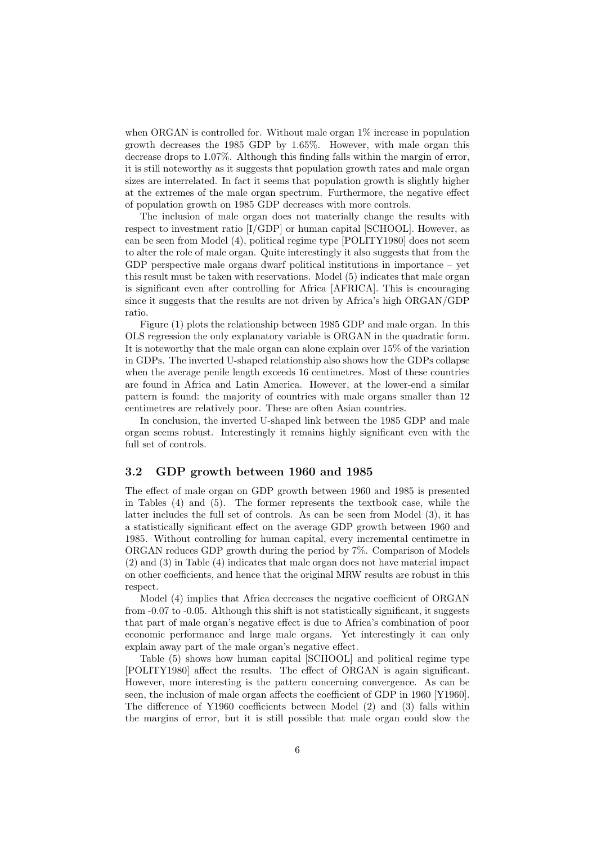when ORGAN is controlled for. Without male organ  $1\%$  increase in population growth decreases the 1985 GDP by 1.65%. However, with male organ this decrease drops to 1.07%. Although this finding falls within the margin of error, it is still noteworthy as it suggests that population growth rates and male organ sizes are interrelated. In fact it seems that population growth is slightly higher at the extremes of the male organ spectrum. Furthermore, the negative effect of population growth on 1985 GDP decreases with more controls.

The inclusion of male organ does not materially change the results with respect to investment ratio [I/GDP] or human capital [SCHOOL]. However, as can be seen from Model (4), political regime type [POLITY1980] does not seem to alter the role of male organ. Quite interestingly it also suggests that from the GDP perspective male organs dwarf political institutions in importance – yet this result must be taken with reservations. Model (5) indicates that male organ is significant even after controlling for Africa [AFRICA]. This is encouraging since it suggests that the results are not driven by Africa's high ORGAN/GDP ratio.

Figure (1) plots the relationship between 1985 GDP and male organ. In this OLS regression the only explanatory variable is ORGAN in the quadratic form. It is noteworthy that the male organ can alone explain over 15% of the variation in GDPs. The inverted U-shaped relationship also shows how the GDPs collapse when the average penile length exceeds 16 centimetres. Most of these countries are found in Africa and Latin America. However, at the lower-end a similar pattern is found: the majority of countries with male organs smaller than 12 centimetres are relatively poor. These are often Asian countries.

In conclusion, the inverted U-shaped link between the 1985 GDP and male organ seems robust. Interestingly it remains highly significant even with the full set of controls.

#### 3.2 GDP growth between 1960 and 1985

The effect of male organ on GDP growth between 1960 and 1985 is presented in Tables (4) and (5). The former represents the textbook case, while the latter includes the full set of controls. As can be seen from Model (3), it has a statistically significant effect on the average GDP growth between 1960 and 1985. Without controlling for human capital, every incremental centimetre in ORGAN reduces GDP growth during the period by 7%. Comparison of Models (2) and (3) in Table (4) indicates that male organ does not have material impact on other coefficients, and hence that the original MRW results are robust in this respect.

Model (4) implies that Africa decreases the negative coefficient of ORGAN from -0.07 to -0.05. Although this shift is not statistically significant, it suggests that part of male organ's negative effect is due to Africa's combination of poor economic performance and large male organs. Yet interestingly it can only explain away part of the male organ's negative effect.

Table (5) shows how human capital [SCHOOL] and political regime type [POLITY1980] affect the results. The effect of ORGAN is again significant. However, more interesting is the pattern concerning convergence. As can be seen, the inclusion of male organ affects the coefficient of GDP in 1960 [Y1960]. The difference of Y1960 coefficients between Model (2) and (3) falls within the margins of error, but it is still possible that male organ could slow the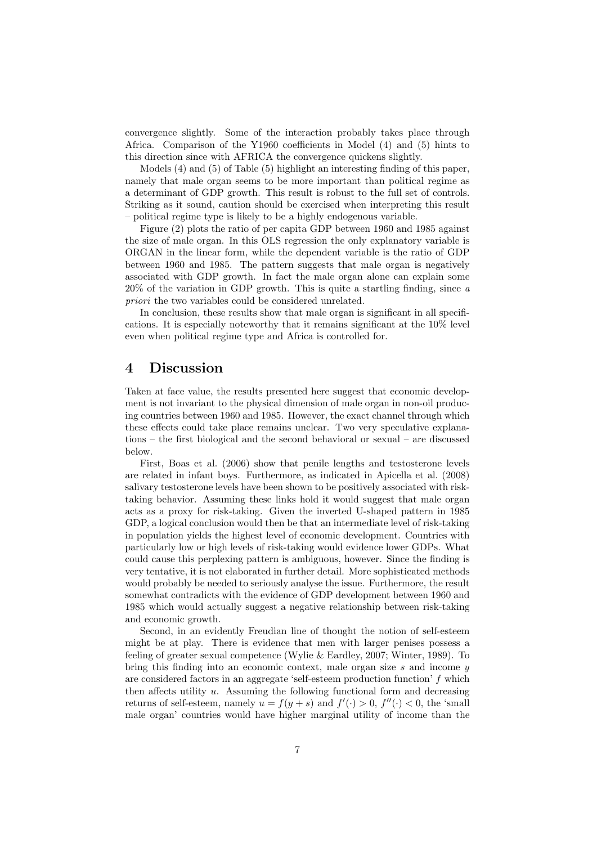convergence slightly. Some of the interaction probably takes place through Africa. Comparison of the Y1960 coefficients in Model (4) and (5) hints to this direction since with AFRICA the convergence quickens slightly.

Models (4) and (5) of Table (5) highlight an interesting finding of this paper, namely that male organ seems to be more important than political regime as a determinant of GDP growth. This result is robust to the full set of controls. Striking as it sound, caution should be exercised when interpreting this result – political regime type is likely to be a highly endogenous variable.

Figure (2) plots the ratio of per capita GDP between 1960 and 1985 against the size of male organ. In this OLS regression the only explanatory variable is ORGAN in the linear form, while the dependent variable is the ratio of GDP between 1960 and 1985. The pattern suggests that male organ is negatively associated with GDP growth. In fact the male organ alone can explain some 20% of the variation in GDP growth. This is quite a startling finding, since a priori the two variables could be considered unrelated.

In conclusion, these results show that male organ is significant in all specifications. It is especially noteworthy that it remains significant at the 10% level even when political regime type and Africa is controlled for.

#### 4 Discussion

Taken at face value, the results presented here suggest that economic development is not invariant to the physical dimension of male organ in non-oil producing countries between 1960 and 1985. However, the exact channel through which these effects could take place remains unclear. Two very speculative explanations – the first biological and the second behavioral or sexual – are discussed below.

First, Boas et al. (2006) show that penile lengths and testosterone levels are related in infant boys. Furthermore, as indicated in Apicella et al. (2008) salivary testosterone levels have been shown to be positively associated with risktaking behavior. Assuming these links hold it would suggest that male organ acts as a proxy for risk-taking. Given the inverted U-shaped pattern in 1985 GDP, a logical conclusion would then be that an intermediate level of risk-taking in population yields the highest level of economic development. Countries with particularly low or high levels of risk-taking would evidence lower GDPs. What could cause this perplexing pattern is ambiguous, however. Since the finding is very tentative, it is not elaborated in further detail. More sophisticated methods would probably be needed to seriously analyse the issue. Furthermore, the result somewhat contradicts with the evidence of GDP development between 1960 and 1985 which would actually suggest a negative relationship between risk-taking and economic growth.

Second, in an evidently Freudian line of thought the notion of self-esteem might be at play. There is evidence that men with larger penises possess a feeling of greater sexual competence (Wylie & Eardley, 2007; Winter, 1989). To bring this finding into an economic context, male organ size s and income  $y$ are considered factors in an aggregate 'self-esteem production function' f which then affects utility  $u$ . Assuming the following functional form and decreasing returns of self-esteem, namely  $u = f(y + s)$  and  $f'(\cdot) > 0$ ,  $f''(\cdot) < 0$ , the 'small male organ' countries would have higher marginal utility of income than the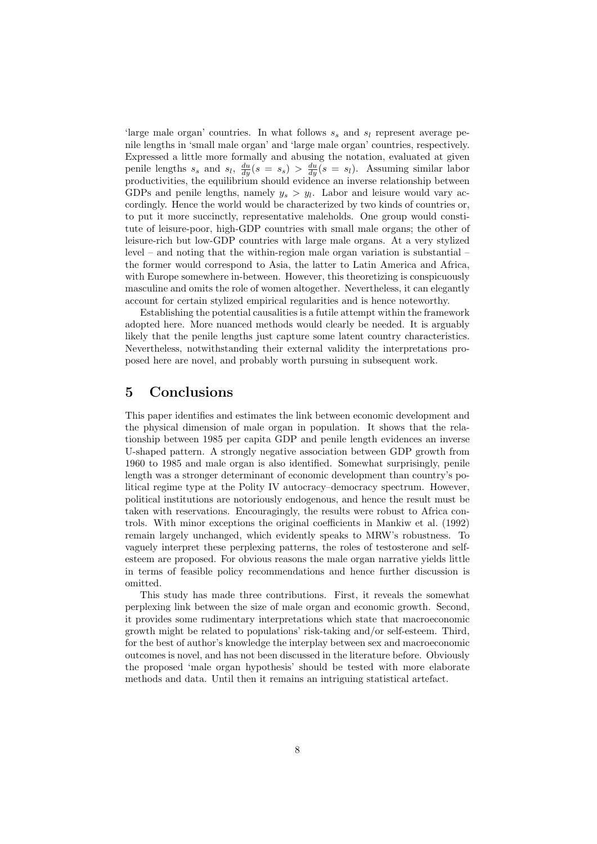'large male organ' countries. In what follows  $s_s$  and  $s_l$  represent average penile lengths in 'small male organ' and 'large male organ' countries, respectively. Expressed a little more formally and abusing the notation, evaluated at given penile lengths  $s_s$  and  $s_l$ ,  $\frac{du}{dy}(s = s_s) > \frac{du}{dy}(s = s_l)$ . Assuming similar labor productivities, the equilibrium should evidence an inverse relationship between GDPs and penile lengths, namely  $y_s > y_l$ . Labor and leisure would vary accordingly. Hence the world would be characterized by two kinds of countries or, to put it more succinctly, representative maleholds. One group would constitute of leisure-poor, high-GDP countries with small male organs; the other of leisure-rich but low-GDP countries with large male organs. At a very stylized level – and noting that the within-region male organ variation is substantial – the former would correspond to Asia, the latter to Latin America and Africa, with Europe somewhere in-between. However, this theoretizing is conspicuously masculine and omits the role of women altogether. Nevertheless, it can elegantly account for certain stylized empirical regularities and is hence noteworthy.

Establishing the potential causalities is a futile attempt within the framework adopted here. More nuanced methods would clearly be needed. It is arguably likely that the penile lengths just capture some latent country characteristics. Nevertheless, notwithstanding their external validity the interpretations proposed here are novel, and probably worth pursuing in subsequent work.

#### 5 Conclusions

This paper identifies and estimates the link between economic development and the physical dimension of male organ in population. It shows that the relationship between 1985 per capita GDP and penile length evidences an inverse U-shaped pattern. A strongly negative association between GDP growth from 1960 to 1985 and male organ is also identified. Somewhat surprisingly, penile length was a stronger determinant of economic development than country's political regime type at the Polity IV autocracy–democracy spectrum. However, political institutions are notoriously endogenous, and hence the result must be taken with reservations. Encouragingly, the results were robust to Africa controls. With minor exceptions the original coefficients in Mankiw et al. (1992) remain largely unchanged, which evidently speaks to MRW's robustness. To vaguely interpret these perplexing patterns, the roles of testosterone and selfesteem are proposed. For obvious reasons the male organ narrative yields little in terms of feasible policy recommendations and hence further discussion is omitted.

This study has made three contributions. First, it reveals the somewhat perplexing link between the size of male organ and economic growth. Second, it provides some rudimentary interpretations which state that macroeconomic growth might be related to populations' risk-taking and/or self-esteem. Third, for the best of author's knowledge the interplay between sex and macroeconomic outcomes is novel, and has not been discussed in the literature before. Obviously the proposed 'male organ hypothesis' should be tested with more elaborate methods and data. Until then it remains an intriguing statistical artefact.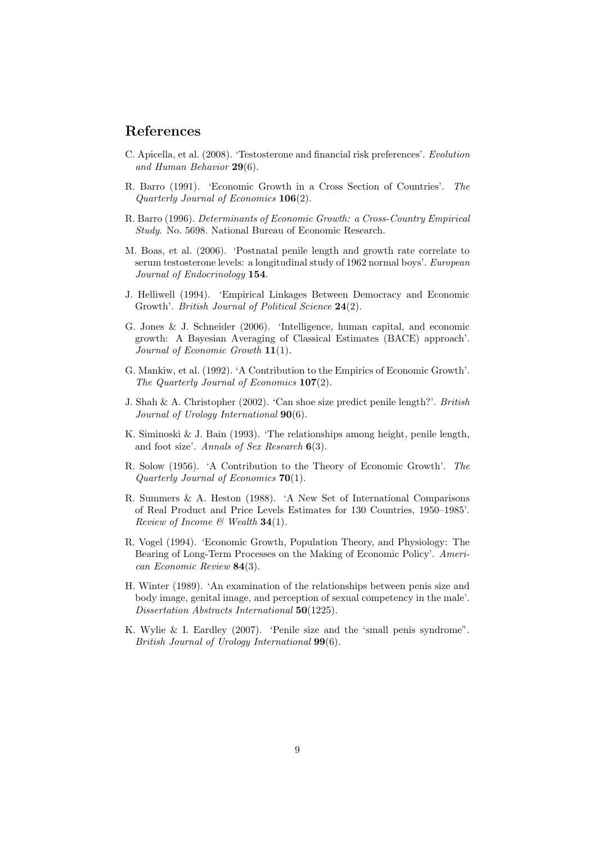### References

- C. Apicella, et al. (2008). 'Testosterone and financial risk preferences'. Evolution and Human Behavior 29(6).
- R. Barro (1991). 'Economic Growth in a Cross Section of Countries'. The Quarterly Journal of Economics 106(2).
- R. Barro (1996). Determinants of Economic Growth: a Cross-Country Empirical Study. No. 5698. National Bureau of Economic Research.
- M. Boas, et al. (2006). 'Postnatal penile length and growth rate correlate to serum testosterone levels: a longitudinal study of 1962 normal boys'. European Journal of Endocrinology 154.
- J. Helliwell (1994). 'Empirical Linkages Between Democracy and Economic Growth'. *British Journal of Political Science* 24(2).
- G. Jones & J. Schneider (2006). 'Intelligence, human capital, and economic growth: A Bayesian Averaging of Classical Estimates (BACE) approach'. Journal of Economic Growth 11(1).
- G. Mankiw, et al. (1992). 'A Contribution to the Empirics of Economic Growth'. The Quarterly Journal of Economics 107(2).
- J. Shah & A. Christopher (2002). 'Can shoe size predict penile length?'. British Journal of Urology International  $90(6)$ .
- K. Siminoski & J. Bain (1993). 'The relationships among height, penile length, and foot size'. Annals of Sex Research 6(3).
- R. Solow (1956). 'A Contribution to the Theory of Economic Growth'. The Quarterly Journal of Economics 70(1).
- R. Summers & A. Heston (1988). 'A New Set of International Comparisons of Real Product and Price Levels Estimates for 130 Countries, 1950–1985'. Review of Income  $\mathcal{B}$  Wealth 34(1).
- R. Vogel (1994). 'Economic Growth, Population Theory, and Physiology: The Bearing of Long-Term Processes on the Making of Economic Policy'. American Economic Review 84(3).
- H. Winter (1989). 'An examination of the relationships between penis size and body image, genital image, and perception of sexual competency in the male'. Dissertation Abstracts International 50(1225).
- K. Wylie & I. Eardley (2007). 'Penile size and the 'small penis syndrome". British Journal of Urology International 99(6).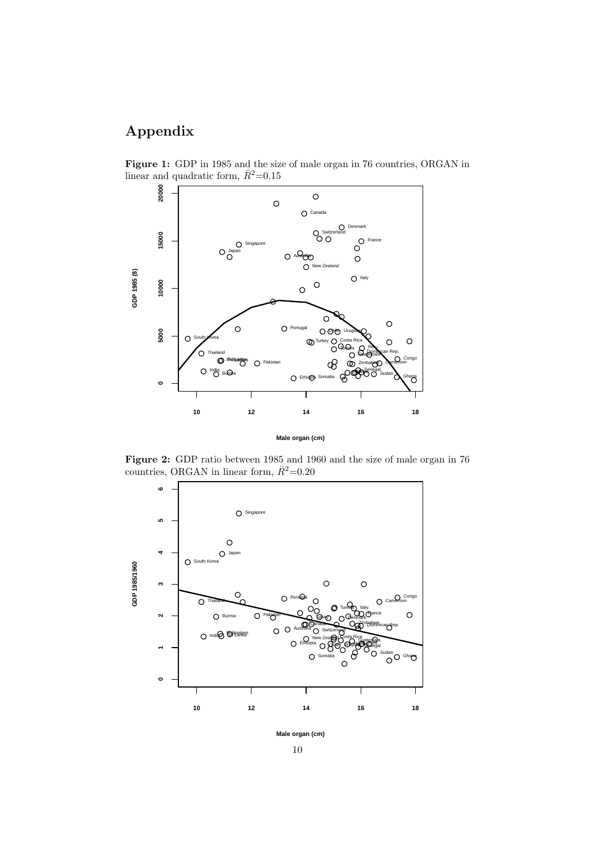# Appendix

Figure 1: GDP in 1985 and the size of male organ in 76 countries, ORGAN in linear and quadratic form,  $\bar{R}^2$ =0.15



**Male organ (cm)**

Figure 2: GDP ratio between 1985 and 1960 and the size of male organ in 76 countries, ORGAN in linear form,  $\bar{R}^2$ =0.20



**Male organ (cm)**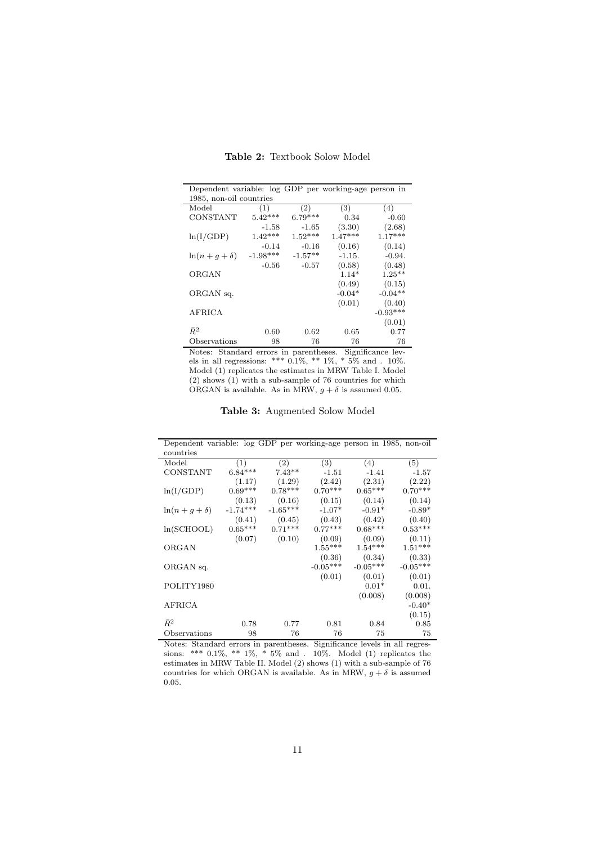| Dependent variable: log GDP per working-age person in |            |           |           |            |  |  |  |  |
|-------------------------------------------------------|------------|-----------|-----------|------------|--|--|--|--|
| 1985, non-oil countries                               |            |           |           |            |  |  |  |  |
| Model                                                 | (1)        | (2)       | (3)       | (4)        |  |  |  |  |
| <b>CONSTANT</b>                                       | $5.42***$  | $6.79***$ | 0.34      | $-0.60$    |  |  |  |  |
|                                                       | $-1.58$    | $-1.65$   | (3.30)    | (2.68)     |  |  |  |  |
| ln(I/GDP)                                             | $1.42***$  | $1.52***$ | $1.47***$ | $1.17***$  |  |  |  |  |
|                                                       | $-0.14$    | $-0.16$   | (0.16)    | (0.14)     |  |  |  |  |
| $\ln(n+g+\delta)$                                     | $-1.98***$ | $-1.57**$ | $-1.15.$  | $-0.94.$   |  |  |  |  |
|                                                       | $-0.56$    | $-0.57$   | (0.58)    | (0.48)     |  |  |  |  |
| ORGAN                                                 |            |           | $1.14*$   | $1.25**$   |  |  |  |  |
|                                                       |            |           | (0.49)    | (0.15)     |  |  |  |  |
| ORGAN sq.                                             |            |           | $-0.04*$  | $-0.04**$  |  |  |  |  |
|                                                       |            |           | (0.01)    | (0.40)     |  |  |  |  |
| <b>AFRICA</b>                                         |            |           |           | $-0.93***$ |  |  |  |  |
|                                                       |            |           |           | (0.01)     |  |  |  |  |
| $\bar{R}^2$                                           | 0.60       | 0.62      | 0.65      | 0.77       |  |  |  |  |
| Observations                                          | 98         | 76        | 76        | 76         |  |  |  |  |

Table 2: Textbook Solow Model

Notes: Standard errors in parentheses. Significance levels in all regressions: \*\*\*  $0.1\%,$  \*\*  $1\%,$  \*  $5\%$  and .  $10\%$ . Model (1) replicates the estimates in MRW Table I. Model (2) shows (1) with a sub-sample of 76 countries for which ORGAN is available. As in MRW,  $g + \delta$  is assumed 0.05.

Table 3: Augmented Solow Model

| Dependent variable: log GDP per working-age person in 1985, non-oil |            |                   |            |            |            |
|---------------------------------------------------------------------|------------|-------------------|------------|------------|------------|
| countries                                                           |            |                   |            |            |            |
| Model                                                               | (1)        | $\left( 2\right)$ | (3)        | (4)        | (5)        |
| CONSTANT                                                            | $6.84***$  | $7.43**$          | $-1.51$    | $-1.41$    | $-1.57$    |
|                                                                     | (1.17)     | (1.29)            | (2.42)     | (2.31)     | (2.22)     |
| ln(I/GDP)                                                           | $0.69***$  | $0.78***$         | $0.70***$  | $0.65***$  | $0.70***$  |
|                                                                     | (0.13)     | (0.16)            | (0.15)     | (0.14)     | (0.14)     |
| $\ln(n+g+\delta)$                                                   | $-1.74***$ | $-1.65***$        | $-1.07*$   | $-0.91*$   | $-0.89*$   |
|                                                                     | (0.41)     | (0.45)            | (0.43)     | (0.42)     | (0.40)     |
| ln(SCHOOL)                                                          | $0.65***$  | $0.71***$         | $0.77***$  | $0.68***$  | $0.53***$  |
|                                                                     | (0.07)     | (0.10)            | (0.09)     | (0.09)     | (0.11)     |
| ORGAN                                                               |            |                   | $1.55***$  | $1.54***$  | $1.51***$  |
|                                                                     |            |                   | (0.36)     | (0.34)     | (0.33)     |
| ORGAN sq.                                                           |            |                   | $-0.05***$ | $-0.05***$ | $-0.05***$ |
|                                                                     |            |                   | (0.01)     | (0.01)     | (0.01)     |
| POLITY1980                                                          |            |                   |            | $0.01*$    | 0.01.      |
|                                                                     |            |                   |            | (0.008)    | (0.008)    |
| AFRICA                                                              |            |                   |            |            | $-0.40*$   |
|                                                                     |            |                   |            |            | (0.15)     |
| $\bar{R}^2$                                                         | 0.78       | 0.77              | 0.81       | 0.84       | 0.85       |
| Observations                                                        | 98         | 76                | 76         | 75         | 75         |

Notes: Standard errors in parentheses. Significance levels in all regressions: \*\*\* 0.1%, \*\* 1%, \* 5% and . 10%. Model (1) replicates the estimates in MRW Table II. Model (2) shows (1) with a sub-sample of 76 countries for which ORGAN is available. As in MRW,  $g+\delta$  is assumed 0.05.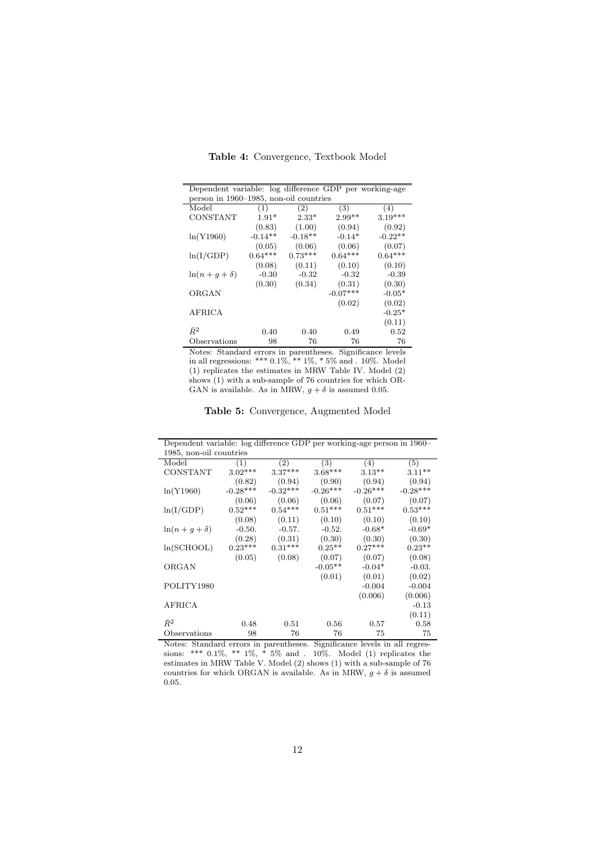| Dependent variable: log difference GDP per working-age |           |           |            |           |  |  |  |
|--------------------------------------------------------|-----------|-----------|------------|-----------|--|--|--|
| person in 1960–1985, non-oil countries                 |           |           |            |           |  |  |  |
| Model                                                  | (1)       | (2)       | (3)        | (4)       |  |  |  |
| CONSTANT                                               | $1.91*$   | $2.33*$   | $2.99**$   | $3.19***$ |  |  |  |
|                                                        | (0.83)    | (1.00)    | (0.94)     | (0.92)    |  |  |  |
| ln(Y1960)                                              | $-0.14**$ | $-0.18**$ | $-0.14*$   | $-0.22**$ |  |  |  |
|                                                        | (0.05)    | (0.06)    | (0.06)     | (0.07)    |  |  |  |
| ln(I/GDP)                                              | $0.64***$ | $0.73***$ | $0.64***$  | $0.64***$ |  |  |  |
|                                                        | (0.08)    | (0.11)    | (0.10)     | (0.10)    |  |  |  |
| $\ln(n+g+\delta)$                                      | $-0.30$   | $-0.32$   | $-0.32$    | $-0.39$   |  |  |  |
|                                                        | (0.30)    | (0.34)    | (0.31)     | (0.30)    |  |  |  |
| ORGAN                                                  |           |           | $-0.07***$ | $-0.05*$  |  |  |  |
|                                                        |           |           | (0.02)     | (0.02)    |  |  |  |
| <b>AFRICA</b>                                          |           |           |            | $-0.25*$  |  |  |  |
|                                                        |           |           |            | (0.11)    |  |  |  |
| $\bar{R}^2$                                            | 0.40      | 0.40      | 0.49       | 0.52      |  |  |  |
| Observations                                           | 98        | 76        | 76         | 76        |  |  |  |

Table 4: Convergence, Textbook Model

Notes: Standard errors in parentheses. Significance levels in all regressions: \*\*\* 0.1%, \*\* 1%, \* 5% and . 10%. Model (1) replicates the estimates in MRW Table IV. Model (2) shows (1) with a sub-sample of 76 countries for which  $OR$ -GAN is available. As in MRW,  $g + \delta$  is assumed 0.05.

Table 5: Convergence, Augmented Model

| Dependent variable: log difference GDP per working-age person in 1960– |                  |            |                   |            |            |  |  |  |  |  |
|------------------------------------------------------------------------|------------------|------------|-------------------|------------|------------|--|--|--|--|--|
| 1985, non-oil countries                                                |                  |            |                   |            |            |  |  |  |  |  |
| Model                                                                  | $\left(1\right)$ | (2)        | $\left( 3\right)$ | (4)        | (5)        |  |  |  |  |  |
| CONSTANT                                                               | $3.02***$        | $3.37***$  | $3.68***$         | $3.13**$   | $3.11**$   |  |  |  |  |  |
|                                                                        | (0.82)           | (0.94)     | (0.90)            | (0.94)     | (0.94)     |  |  |  |  |  |
| ln(Y1960)                                                              | $-0.28***$       | $-0.32***$ | $-0.26***$        | $-0.26***$ | $-0.28***$ |  |  |  |  |  |
|                                                                        | (0.06)           | (0.06)     | (0.06)            | (0.07)     | (0.07)     |  |  |  |  |  |
| ln(I/GDP)                                                              | $0.52***$        | $0.54***$  | $0.51***$         | $0.51***$  | $0.53***$  |  |  |  |  |  |
|                                                                        | (0.08)           | (0.11)     | (0.10)            | (0.10)     | (0.10)     |  |  |  |  |  |
| $\ln(n+g+\delta)$                                                      | $-0.50.$         | $-0.57$ .  | $-0.52.$          | $-0.68*$   | $-0.69*$   |  |  |  |  |  |
|                                                                        | (0.28)           | (0.31)     | (0.30)            | (0.30)     | (0.30)     |  |  |  |  |  |
| ln(SCHOOL)                                                             | $0.23***$        | $0.31***$  | $0.25**$          | $0.27***$  | $0.23**$   |  |  |  |  |  |
|                                                                        | (0.05)           | (0.08)     | (0.07)            | (0.07)     | (0.08)     |  |  |  |  |  |
| ORGAN                                                                  |                  |            | $-0.05**$         | $-0.04*$   | $-0.03.$   |  |  |  |  |  |
|                                                                        |                  |            | (0.01)            | (0.01)     | (0.02)     |  |  |  |  |  |
| POLITY1980                                                             |                  |            |                   | $-0.004$   | $-0.004$   |  |  |  |  |  |
|                                                                        |                  |            |                   | (0.006)    | (0.006)    |  |  |  |  |  |
| <b>AFRICA</b>                                                          |                  |            |                   |            | $-0.13$    |  |  |  |  |  |
|                                                                        |                  |            |                   |            | (0.11)     |  |  |  |  |  |
| $\bar{R}^2$                                                            | 0.48             | 0.51       | 0.56              | 0.57       | 0.58       |  |  |  |  |  |
| Observations                                                           | 98               | 76         | 76                | 75         | 75         |  |  |  |  |  |

Notes: Standard errors in parentheses. Significance levels in all regressions: \*\*\* 0.1%, \*\* 1%, \* 5% and . 10%. Model (1) replicates the estimates in MRW Table V. Model (2) shows (1) with a sub-sample of 76 countries for which ORGAN is available. As in MRW,  $g+\delta$  is assumed 0.05.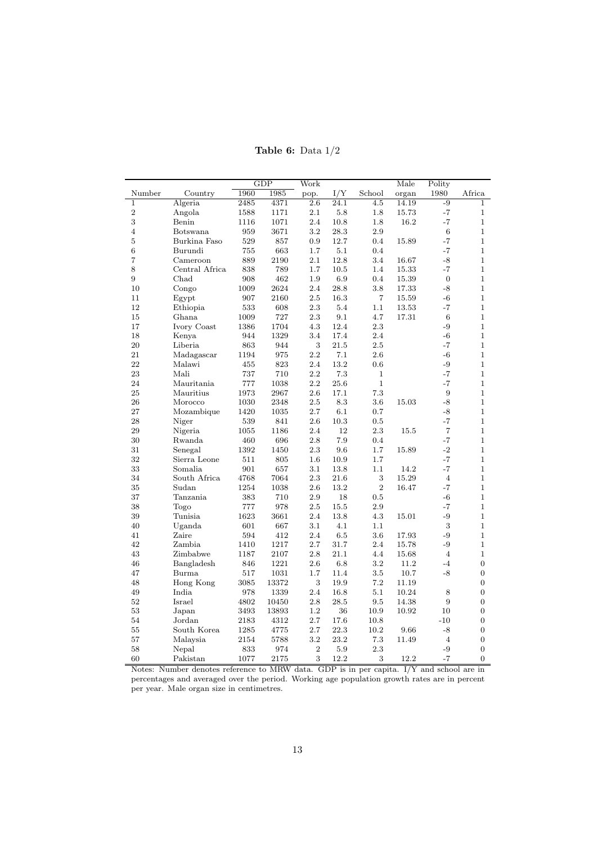|                  |                |      | GDP   | $\rm\overline{W}ork$ |      |                | Male  | Polity           |                  |
|------------------|----------------|------|-------|----------------------|------|----------------|-------|------------------|------------------|
| Number           | Country        | 1960 | 1985  | pop.                 | I/Y  | School         | organ | 1980             | Africa           |
| $\mathbf{1}$     | Algeria        | 2485 | 4371  | 2.6                  | 24.1 | 4.5            | 14.19 | $-9$             | $\mathbf{1}$     |
| $\boldsymbol{2}$ | Angola         | 1588 | 1171  | 2.1                  | 5.8  | 1.8            | 15.73 | $-7$             | $\mathbf{1}$     |
| 3                | Benin          | 1116 | 1071  | 2.4                  | 10.8 | 1.8            | 16.2  | $-7$             | $\mathbf{1}$     |
| $\overline{4}$   | Botswana       | 959  | 3671  | $3.2\,$              | 28.3 | 2.9            |       | 6                | $\mathbf{1}$     |
| $\overline{5}$   | Burkina Faso   | 529  | 857   | 0.9                  | 12.7 | 0.4            | 15.89 | $-7$             | $\mathbf{1}$     |
| 6                | Burundi        | 755  | 663   | 1.7                  | 5.1  | 0.4            |       | $-7$             | $\mathbf{1}$     |
| 7                | Cameroon       | 889  | 2190  | 2.1                  | 12.8 | 3.4            | 16.67 | $-8$             | $\mathbf{1}$     |
| 8                | Central Africa | 838  | 789   | 1.7                  | 10.5 | 1.4            | 15.33 | $-7$             | $\mathbf{1}$     |
| 9                | Chad           | 908  | 462   | 1.9                  | 6.9  | 0.4            | 15.39 | $\boldsymbol{0}$ | $\mathbf{1}$     |
| 10               | Congo          | 1009 | 2624  | 2.4                  | 28.8 | 3.8            | 17.33 | $-8$             | $\mathbf{1}$     |
| 11               | Egypt          | 907  | 2160  | 2.5                  | 16.3 | $\overline{7}$ | 15.59 | $-6$             | $\mathbf{1}$     |
| 12               | Ethiopia       | 533  | 608   | 2.3                  | 5.4  | 1.1            | 13.53 | $-7$             | $\mathbf{1}$     |
| 15               | Ghana          | 1009 | 727   | 2.3                  | 9.1  | 4.7            | 17.31 | 6                | $\mathbf{1}$     |
| 17               | Ivory Coast    | 1386 | 1704  | 4.3                  | 12.4 | 2.3            |       | $-9$             | $\mathbf{1}$     |
| 18               | Kenya          | 944  | 1329  | 3.4                  | 17.4 | 2.4            |       | $-6$             | $\mathbf{1}$     |
| 20               | Liberia        | 863  | 944   | 3                    | 21.5 | 2.5            |       | $-7$             | $\mathbf{1}$     |
| 21               | Madagascar     | 1194 | 975   | $2.2\,$              | 7.1  | 2.6            |       | $-6$             | $\mathbf{1}$     |
| 22               | Malawi         | 455  | 823   | 2.4                  | 13.2 | 0.6            |       | $-9$             | $\mathbf{1}$     |
| 23               | Mali           | 737  | 710   | 2.2                  | 7.3  | 1              |       | $-7$             | $\mathbf{1}$     |
| 24               | Mauritania     | 777  | 1038  | 2.2                  | 25.6 | $\mathbf{1}$   |       | $-7$             | $\mathbf{1}$     |
| 25               | Mauritius      | 1973 | 2967  | 2.6                  | 17.1 | 7.3            |       | 9                | $\mathbf{1}$     |
| 26               | Morocco        | 1030 | 2348  | 2.5                  | 8.3  | 3.6            | 15.03 | $-8$             | $\mathbf{1}$     |
| 27               | Mozambique     | 1420 | 1035  | 2.7                  | 6.1  | 0.7            |       | $-8$             | $\mathbf{1}$     |
| 28               | Niger          | 539  | 841   | 2.6                  | 10.3 | 0.5            |       | $-7$             | $\mathbf{1}$     |
| 29               | Nigeria        | 1055 | 1186  | 2.4                  | 12   | 2.3            | 15.5  | $\overline{7}$   | $\mathbf{1}$     |
| 30               | Rwanda         | 460  | 696   | 2.8                  | 7.9  | 0.4            |       | $-7$             | $\mathbf{1}$     |
| 31               | Senegal        | 1392 | 1450  | 2.3                  | 9.6  | 1.7            | 15.89 | $-2$             | $\mathbf{1}$     |
| 32               | Sierra Leone   | 511  | 805   | 1.6                  | 10.9 | 1.7            |       | $-7$             | $\mathbf{1}$     |
| 33               | Somalia        | 901  | 657   | 3.1                  | 13.8 | 1.1            | 14.2  | $-7$             | $\mathbf{1}$     |
| 34               | South Africa   | 4768 | 7064  | 2.3                  | 21.6 | 3              | 15.29 | $\overline{4}$   | $\mathbf{1}$     |
| 35               | Sudan          | 1254 | 1038  | 2.6                  | 13.2 | $\overline{2}$ | 16.47 | $-7$             | $\mathbf{1}$     |
| 37               | Tanzania       | 383  | 710   | 2.9                  | 18   | 0.5            |       | $-6$             | $\mathbf{1}$     |
| 38               | Togo           | 777  | 978   | 2.5                  | 15.5 | 2.9            |       | $-7$             | $\mathbf{1}$     |
| 39               | Tunisia        | 1623 | 3661  | 2.4                  | 13.8 | 4.3            | 15.01 | $-9$             | $\mathbf{1}$     |
| 40               | Uganda         | 601  | 667   | 3.1                  | 4.1  | 1.1            |       | 3                | $\mathbf{1}$     |
| 41               | Zaire          | 594  | 412   | 2.4                  | 6.5  | 3.6            | 17.93 | $-9$             | $\mathbf{1}$     |
| 42               | Zambia         | 1410 | 1217  | 2.7                  | 31.7 | 2.4            | 15.78 | $-9$             | $\mathbf{1}$     |
| 43               | Zimbabwe       | 1187 | 2107  | 2.8                  | 21.1 | 4.4            | 15.68 | $\overline{4}$   | $\mathbf{1}$     |
| 46               | Bangladesh     | 846  | 1221  | 2.6                  | 6.8  | 3.2            | 11.2  | $-4$             | $\overline{0}$   |
| 47               | Burma          | 517  | 1031  | 1.7                  | 11.4 | 3.5            | 10.7  | $-8$             | $\boldsymbol{0}$ |
| 48               | Hong Kong      | 3085 | 13372 | 3                    | 19.9 | 7.2            | 11.19 |                  | $\boldsymbol{0}$ |
| 49               | India          | 978  | 1339  | 2.4                  | 16.8 | 5.1            | 10.24 | 8                | $\boldsymbol{0}$ |
| 52               | Israel         | 4802 | 10450 | $2.8\,$              | 28.5 | 9.5            | 14.38 | 9                | $\overline{0}$   |
| 53               | Japan          | 3493 | 13893 | 1.2                  | 36   | 10.9           | 10.92 | 10               | $\boldsymbol{0}$ |
| 54               | Jordan         | 2183 | 4312  | 2.7                  | 17.6 | 10.8           |       | $-10$            | $\overline{0}$   |
| 55               | South Korea    | 1285 | 4775  | 2.7                  | 22.3 | 10.2           | 9.66  | $-8$             | $\overline{0}$   |
| 57               | Malaysia       | 2154 | 5788  | 3.2                  | 23.2 | 7.3            | 11.49 | $\overline{4}$   | $\overline{0}$   |
| 58               | Nepal          | 833  | 974   | $\overline{2}$       | 5.9  | 2.3            |       | $-9$             | $\overline{0}$   |
| 60               | Pakistan       | 1077 | 2175  | 3                    | 12.2 | 3              | 12.2  | $-7$             | $\overline{0}$   |

Table 6: Data  $1/2$ 

Notes: Number denotes reference to MRW data. GDP is in per capita. I/Y and school are in percentages and averaged over the period. Working age population growth rates are in percent per year. Male organ size in centimetres.